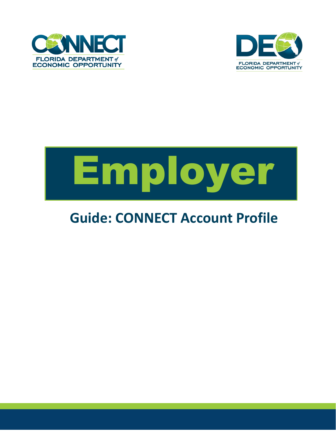



## Employer

## **Guide: CONNECT Account Profile**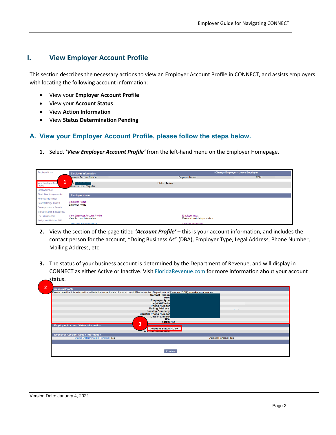## **I. View Employer Account Profile**

This section describes the necessary actions to view an Employer Account Profile in CONNECT, and assists employers with locating the following account information:

- View your **Employer Account Profile**
- View your **Account Status**
- View **Action Information**
- View **Status Determination Pending**

## **A. View your Employer Account Profile, please follow the steps below.**

**1.** Select **'***View Employer Account Profile'* from the left-hand menu on the Employer Homepage.

| <b>Employer Home</b>          | <b>Employer Information</b>                                             |                       | <b>SChange Employer SLeave Employer</b> |               |
|-------------------------------|-------------------------------------------------------------------------|-----------------------|-----------------------------------------|---------------|
|                               | mployer Account Number:                                                 | <b>Employer Name:</b> |                                         | FEIN:<br>- 17 |
| 1<br>View Employer Acco       | $-200001110$<br>dsiness Type: Regular                                   | <b>Status: Active</b> |                                         |               |
| Employer Inbox                |                                                                         |                       |                                         |               |
| Short Time Compensation       | <b>Employer Home</b>                                                    |                       |                                         |               |
| <b>Address Information</b>    |                                                                         |                       |                                         |               |
| <b>Benefit Charge Protest</b> | <b>Employer Home</b><br><b>Employer Home</b>                            |                       |                                         |               |
| Correspondence Search         |                                                                         |                       |                                         |               |
| Manage SIDES E-Response       |                                                                         |                       |                                         |               |
| <b>User Maintenance</b>       | <b>View Employer Account Profile</b><br><b>View Account Information</b> | <b>Employer Inbox</b> | View and maintain your inbox.           |               |
| Assign and Maintain TPA       |                                                                         |                       |                                         |               |
|                               | <b>Short Time Compensation</b>                                          | Address Information   |                                         |               |

- **2.** View the section of the page titled *'Account Profile'* this is your account information, and includes the contact person for the account, "Doing Business As" (DBA), Employer Type, Legal Address, Phone Number, Mailing Address, etc.
- **3.** The status of your business account is determined by the Department of Revenue, and will display in CONNECT as either Active or Inactive. Visit **FloridaRevenue.com** for more information about your account status.

| SIDES:N/A                   |
|-----------------------------|
| <b>Account Status: ACTV</b> |
|                             |
| Appeal Pending: No          |
|                             |
|                             |
|                             |
| <b>Previous</b>             |